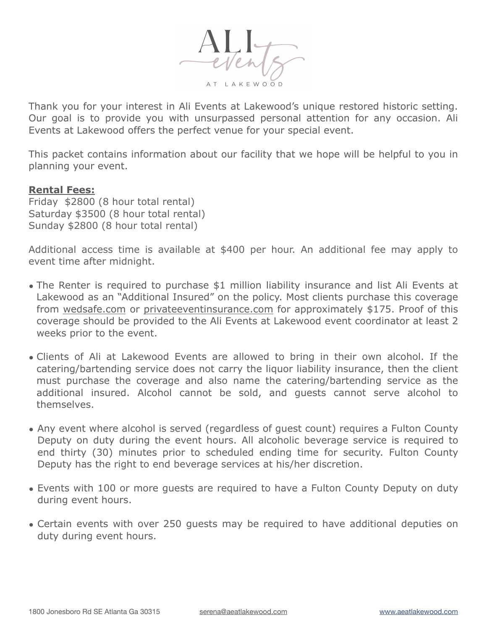

Thank you for your interest in Ali Events at Lakewood's unique restored historic setting. Our goal is to provide you with unsurpassed personal attention for any occasion. Ali Events at Lakewood offers the perfect venue for your special event.

This packet contains information about our facility that we hope will be helpful to you in planning your event.

#### **Rental Fees:**

Friday \$2800 (8 hour total rental) Saturday \$3500 (8 hour total rental) Sunday \$2800 (8 hour total rental)

Additional access time is available at \$400 per hour. An additional fee may apply to event time after midnight.

- The Renter is required to purchase \$1 million liability insurance and list Ali Events at Lakewood as an "Additional Insured" on the policy. Most clients purchase this coverage from [wedsafe.com](http://wedsafe.com) or [privateeventinsurance.com](http://privateeventinsurance.com) for approximately \$175. Proof of this coverage should be provided to the Ali Events at Lakewood event coordinator at least 2 weeks prior to the event.
- Clients of Ali at Lakewood Events are allowed to bring in their own alcohol. If the catering/bartending service does not carry the liquor liability insurance, then the client must purchase the coverage and also name the catering/bartending service as the additional insured. Alcohol cannot be sold, and guests cannot serve alcohol to themselves.
- Any event where alcohol is served (regardless of guest count) requires a Fulton County Deputy on duty during the event hours. All alcoholic beverage service is required to end thirty (30) minutes prior to scheduled ending time for security. Fulton County Deputy has the right to end beverage services at his/her discretion.
- Events with 100 or more guests are required to have a Fulton County Deputy on duty during event hours.
- Certain events with over 250 guests may be required to have additional deputies on duty during event hours.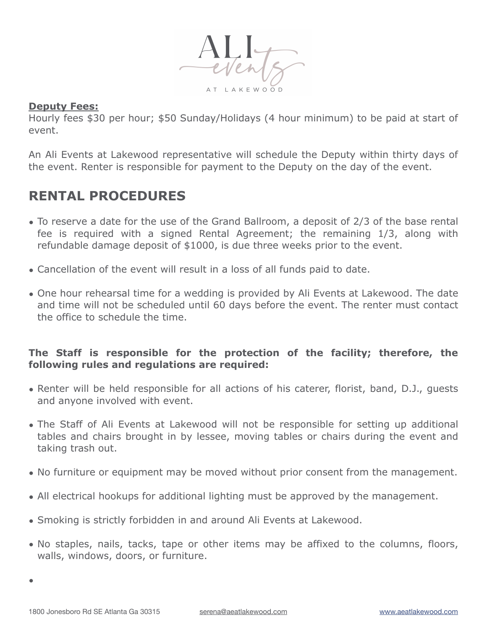

#### **Deputy Fees:**

Hourly fees \$30 per hour; \$50 Sunday/Holidays (4 hour minimum) to be paid at start of event.

An Ali Events at Lakewood representative will schedule the Deputy within thirty days of the event. Renter is responsible for payment to the Deputy on the day of the event.

# **RENTAL PROCEDURES**

- To reserve a date for the use of the Grand Ballroom, a deposit of 2/3 of the base rental fee is required with a signed Rental Agreement; the remaining 1/3, along with refundable damage deposit of \$1000, is due three weeks prior to the event.
- Cancellation of the event will result in a loss of all funds paid to date.
- One hour rehearsal time for a wedding is provided by Ali Events at Lakewood. The date and time will not be scheduled until 60 days before the event. The renter must contact the office to schedule the time.

#### **The Staff is responsible for the protection of the facility; therefore, the following rules and regulations are required:**

- Renter will be held responsible for all actions of his caterer, florist, band, D.J., guests and anyone involved with event.
- The Staff of Ali Events at Lakewood will not be responsible for setting up additional tables and chairs brought in by lessee, moving tables or chairs during the event and taking trash out.
- No furniture or equipment may be moved without prior consent from the management.
- All electrical hookups for additional lighting must be approved by the management.
- Smoking is strictly forbidden in and around Ali Events at Lakewood.
- No staples, nails, tacks, tape or other items may be affixed to the columns, floors, walls, windows, doors, or furniture.

•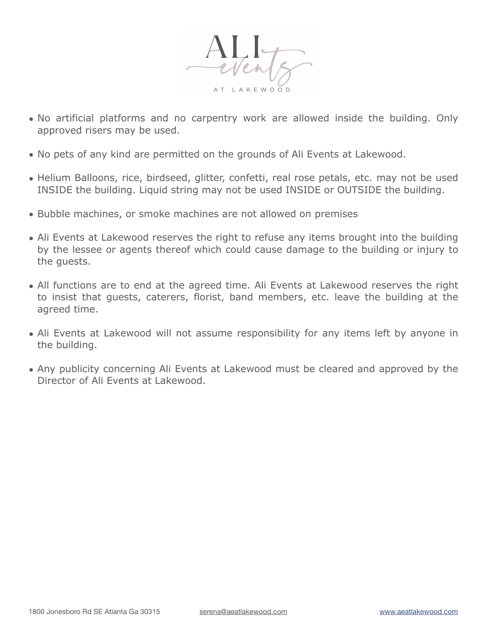

- No artificial platforms and no carpentry work are allowed inside the building. Only approved risers may be used.
- No pets of any kind are permitted on the grounds of Ali Events at Lakewood.
- Helium Balloons, rice, birdseed, glitter, confetti, real rose petals, etc. may not be used INSIDE the building. Liquid string may not be used INSIDE or OUTSIDE the building.
- Bubble machines, or smoke machines are not allowed on premises
- Ali Events at Lakewood reserves the right to refuse any items brought into the building by the lessee or agents thereof which could cause damage to the building or injury to the guests.
- All functions are to end at the agreed time. Ali Events at Lakewood reserves the right to insist that guests, caterers, florist, band members, etc. leave the building at the agreed time.
- Ali Events at Lakewood will not assume responsibility for any items left by anyone in the building.
- Any publicity concerning Ali Events at Lakewood must be cleared and approved by the Director of Ali Events at Lakewood.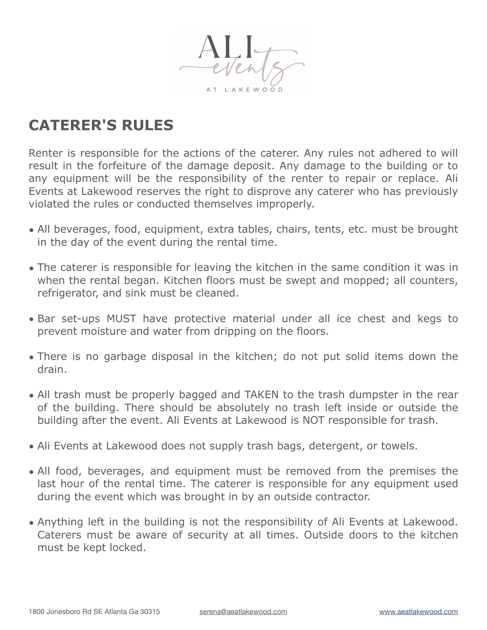

# **CATERER'S RULES**

Renter is responsible for the actions of the caterer. Any rules not adhered to will result in the forfeiture of the damage deposit. Any damage to the building or to any equipment will be the responsibility of the renter to repair or replace. Ali Events at Lakewood reserves the right to disprove any caterer who has previously violated the rules or conducted themselves improperly.

- All beverages, food, equipment, extra tables, chairs, tents, etc. must be brought in the day of the event during the rental time.
- The caterer is responsible for leaving the kitchen in the same condition it was in when the rental began. Kitchen floors must be swept and mopped; all counters, refrigerator, and sink must be cleaned.
- Bar set-ups MUST have protective material under all ice chest and kegs to prevent moisture and water from dripping on the floors.
- There is no garbage disposal in the kitchen; do not put solid items down the drain.
- All trash must be properly bagged and TAKEN to the trash dumpster in the rear of the building. There should be absolutely no trash left inside or outside the building after the event. Ali Events at Lakewood is NOT responsible for trash.
- Ali Events at Lakewood does not supply trash bags, detergent, or towels.
- All food, beverages, and equipment must be removed from the premises the last hour of the rental time. The caterer is responsible for any equipment used during the event which was brought in by an outside contractor.
- Anything left in the building is not the responsibility of Ali Events at Lakewood. Caterers must be aware of security at all times. Outside doors to the kitchen must be kept locked.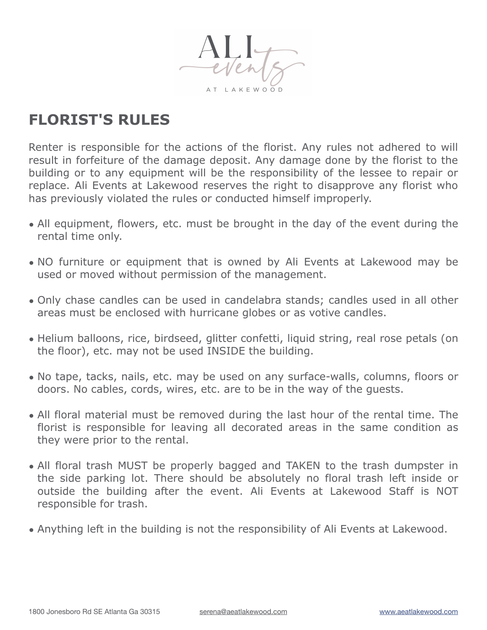

# **FLORIST'S RULES**

Renter is responsible for the actions of the florist. Any rules not adhered to will result in forfeiture of the damage deposit. Any damage done by the florist to the building or to any equipment will be the responsibility of the lessee to repair or replace. Ali Events at Lakewood reserves the right to disapprove any florist who has previously violated the rules or conducted himself improperly.

- All equipment, flowers, etc. must be brought in the day of the event during the rental time only.
- NO furniture or equipment that is owned by Ali Events at Lakewood may be used or moved without permission of the management.
- Only chase candles can be used in candelabra stands; candles used in all other areas must be enclosed with hurricane globes or as votive candles.
- Helium balloons, rice, birdseed, glitter confetti, liquid string, real rose petals (on the floor), etc. may not be used INSIDE the building.
- No tape, tacks, nails, etc. may be used on any surface-walls, columns, floors or doors. No cables, cords, wires, etc. are to be in the way of the guests.
- All floral material must be removed during the last hour of the rental time. The florist is responsible for leaving all decorated areas in the same condition as they were prior to the rental.
- All floral trash MUST be properly bagged and TAKEN to the trash dumpster in the side parking lot. There should be absolutely no floral trash left inside or outside the building after the event. Ali Events at Lakewood Staff is NOT responsible for trash.
- Anything left in the building is not the responsibility of Ali Events at Lakewood.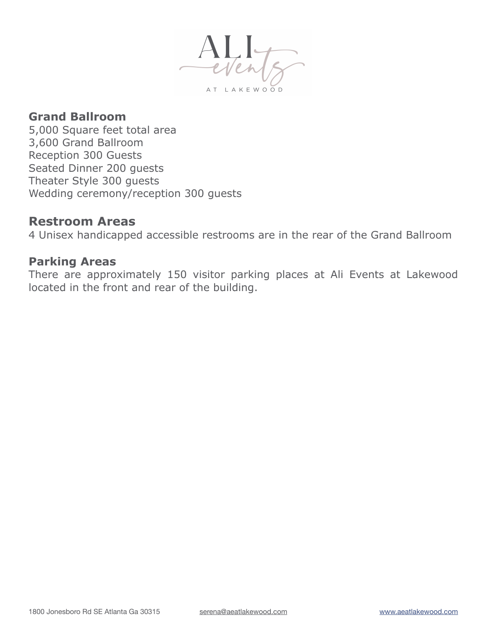

## **Grand Ballroom**

5,000 Square feet total area 3,600 Grand Ballroom Reception 300 Guests Seated Dinner 200 guests Theater Style 300 guests Wedding ceremony/reception 300 guests

### **Restroom Areas**

4 Unisex handicapped accessible restrooms are in the rear of the Grand Ballroom

# **Parking Areas**

There are approximately 150 visitor parking places at Ali Events at Lakewood located in the front and rear of the building.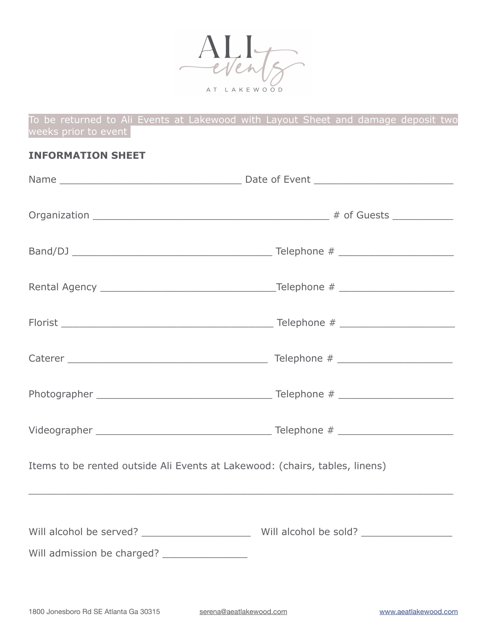

To be returned to Ali Events at Lakewood with Layout Sheet and damage deposit two weeks prior to event

#### **INFORMATION SHEET**

| Items to be rented outside Ali Events at Lakewood: (chairs, tables, linens) |  |  |
|-----------------------------------------------------------------------------|--|--|
|                                                                             |  |  |
|                                                                             |  |  |
| Will admission be charged? ________________                                 |  |  |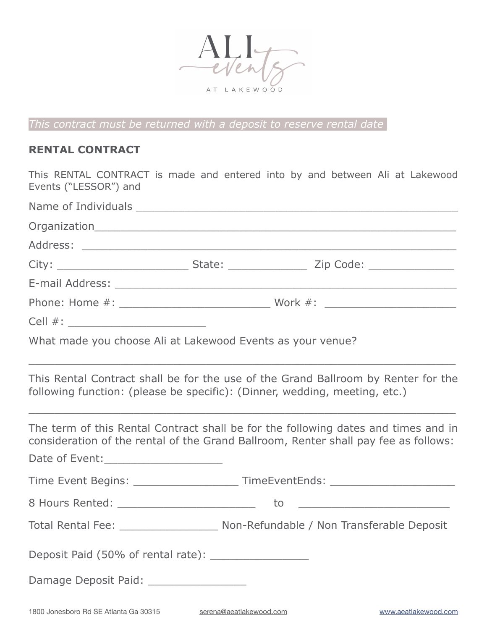

*This contract must be returned with a deposit to reserve rental date* 

### **RENTAL CONTRACT**

This RENTAL CONTRACT is made and entered into by and between Ali at Lakewood Events ("LESSOR") and

| What made you choose Ali at Lakewood Events as your venue? |  |  |
|------------------------------------------------------------|--|--|
|                                                            |  |  |

This Rental Contract shall be for the use of the Grand Ballroom by Renter for the following function: (please be specific): (Dinner, wedding, meeting, etc.)

 $\_$  , and the contribution of the contribution of  $\mathcal{L}_\mathcal{A}$  , and the contribution of  $\mathcal{L}_\mathcal{A}$  , and

The term of this Rental Contract shall be for the following dates and times and in consideration of the rental of the Grand Ballroom, Renter shall pay fee as follows:

Date of Event:

Time Event Begins: \_\_\_\_\_\_\_\_\_\_\_\_\_\_\_\_\_\_\_\_\_\_\_\_TimeEventEnds: \_\_\_\_\_\_\_\_\_\_\_\_\_\_\_\_\_\_\_\_\_\_

8 Hours Rented: \_\_\_\_\_\_\_\_\_\_\_\_\_\_\_\_\_\_\_\_\_ to \_\_\_\_\_\_\_\_\_\_\_\_\_\_\_\_\_\_\_\_\_\_\_

Total Rental Fee: Total Rental Fee: Non-Refundable / Non Transferable Deposit

Deposit Paid (50% of rental rate): Lettucal rate and the Deposit Paid (50% of rental rate):

Damage Deposit Paid: \_\_\_\_\_\_\_\_\_\_\_\_\_